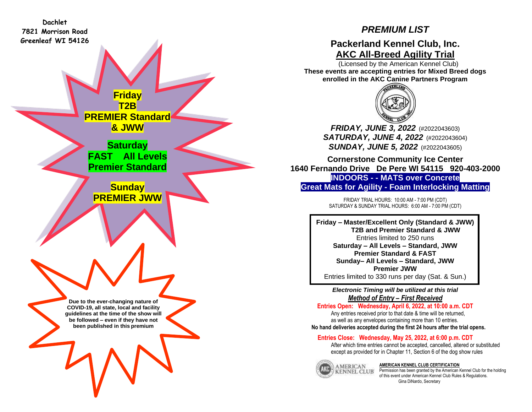**Dachlet 7821 Morrison Road Greenleaf WI 54126**

# *PREMIUM LIST*

## **Packerland Kennel Club, Inc. AKC All-Breed Agility Trial**

 (Licensed by the American Kennel Club) **These events are accepting entries for Mixed Breed dogs enrolled in the AKC Canine Partners Program**



*FRIDAY, JUNE 3, 2022* (#2022043603) *SATURDAY, JUNE 4, 2022* (#2022043604) *SUNDAY, JUNE 5, 2022* (#2022043605)

**Cornerstone Community Ice Center 1640 Fernando Drive De Pere WI 54115 920-403-2000 INDOORS - - MATS over Concrete Great Mats for Agility - Foam Interlocking Matting**

> FRIDAY TRIAL HOURS: 10:00 AM - 7:00 PM (CDT) SATURDAY & SUNDAY TRIAL HOURS: 6:00 AM - 7:00 PM (CDT)

**Friday – Master/Excellent Only (Standard & JWW) T2B and Premier Standard & JWW** Entries limited to 250 runs **Saturday – All Levels – Standard, JWW Premier Standard & FAST Sunday– All Levels – Standard, JWW Premier JWW** Entries limited to 330 runs per day (Sat. & Sun.)

> *Electronic Timing will be utilized at this trial Method of Entry – First Received*

**Entries Open: Wednesday, April 6, 2022, at 10:00 a.m. CDT** Any entries received prior to that date & time will be returned, as well as any envelopes containing more than 10 entries. **No hand deliveries accepted during the first 24 hours after the trial opens.**

## **Entries Close: Wednesday, May 25, 2022, at 6:00 p.m. CDT**

After which time entries cannot be accepted, cancelled, altered or substituted except as provided for in Chapter 11, Section 6 of the dog show rules



**AMERICAN KENNEL CLUB CERTIFICATION**

Permission has been granted by the American Kennel Club for the holding of this event under American Kennel Club Rules & Regulations. Gina DiNardo, Secretary

**Due to the ever-changing nature of COVID-19, all state, local and facility guidelines at the time of the show will be followed – even if they have not been published in this premium**

**Friday T2B PREMIER Standard & JWW**

**Saturday FAST All Levels Premier Standard**

**Sunday PREMIER JWW**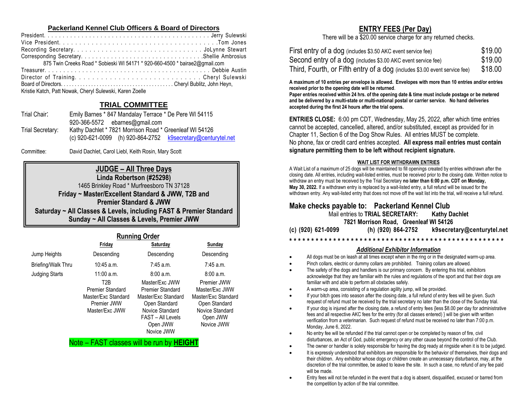## **Packerland Kennel Club Officers & Board of Directors**

| 875 Twin Creeks Road * Sobieski WI 54171 * 920-660-4500 * bairae2@gmail.com |
|-----------------------------------------------------------------------------|
|                                                                             |
| Director of TrainingCheryl Sulewski                                         |
|                                                                             |
| Kristie Katch, Patt Nowak, Cheryl Sulewski, Karen Zoelle                    |

## **TRIAL COMMITTEE**

| Emily Barnes * 847 Mandalay Terrace * De Pere WI 54115                      |
|-----------------------------------------------------------------------------|
| 920-366-5572 ebarnes@gmail.com                                              |
| Kathy Dachlet * 7821 Morrison Road * Greenleaf WI 54126                     |
| (c) $920 - 621 - 0099$ (h) $920 - 864 - 2752$ $k$ 9secretary@centurytel.net |
|                                                                             |

Committee: David Dachlet, Carol Liebl, Keith Rosin, Mary Scott

## **JUDGE – All Three Days**

**Linda Robertson (#25298)** 1465 Brinkley Road \* Murfreesboro TN 37128 **Friday ~ Master/Excellent Standard & JWW, T2B and Premier Standard & JWW Saturday ~ All Classes & Levels, including FAST & Premier Standard Sunday ~ All Classes & Levels, Premier JWW**

|                       |                         | <b>Running Order</b>    |                     |
|-----------------------|-------------------------|-------------------------|---------------------|
|                       | Friday                  | Saturday                | Sunday              |
| Jump Heights          | Descending              | Descending              | Descending          |
| Briefing/Walk Thru    | $10:45$ a.m.            | $7:45$ a.m.             | $7:45$ a.m.         |
| <b>Judging Starts</b> | 11:00 a.m.              | 8:00a.m.                | 8:00a.m.            |
|                       | T <sub>2</sub> R        | Master/Fxc JWW          | Premier JWW         |
|                       | <b>Premier Standard</b> | <b>Premier Standard</b> | Master/Exc JWW      |
|                       | Master/Exc Standard     | Master/Exc Standard     | Master/Exc Standard |
|                       | Premier JWW             | Open Standard           | Open Standard       |
|                       | Master/Exc JWW          | Novice Standard         | Novice Standard     |
|                       |                         | FAST - All Levels       | Open JWW            |
|                       |                         | Open JWW                | Novice JWW          |
|                       |                         | Novice JWW              |                     |

Note – FAST classes will be run by **HEIGHT**

## **ENTRY FEES (Per Day)**

There will be a \$20.00 service charge for any returned checks.

| First entry of a dog (includes \$3.50 AKC event service fee)               | \$19.00 |
|----------------------------------------------------------------------------|---------|
| Second entry of a dog (includes \$3.00 AKC event service fee)              | \$19.00 |
| Third, Fourth, or Fifth entry of a dog (includes \$3.00 event service fee) | \$18.00 |

**A maximum of 10 entries per envelope is allowed. Envelopes with more than 10 entries and/or entries received prior to the opening date will be returned**.

**Paper entries received within 24 hrs. of the opening date & time must include postage or be metered and be delivered by a multi-state or multi-national postal or carrier service. No hand deliveries accepted during the first 24 hours after the trial opens.**

**ENTRIES CLOSE:** 6:00 pm CDT, Wednesday, May 25, 2022, after which time entries cannot be accepted, cancelled, altered, and/or substituted, except as provided for in Chapter 11, Section 6 of the Dog Show Rules. All entries MUST be complete. No phone, fax or credit card entries accepted. **All express mail entries must contain signature permitting them to be left without recipient signature.**

#### **WAIT LIST FOR WITHDRAWN ENTRIES**

A Wait List of a maximum of 25 dogs will be maintained to fill openings created by entries withdrawn after the closing date. All entries, including wait-listed entries, must be received prior to the closing date. Written notice to withdraw an entry must be received by the Trial Secretary **no later than 6:00 p.m. CDT on Monday**, **May 30, 2022.** If a withdrawn entry is replaced by a wait-listed entry, a full refund will be issued for the withdrawn entry. Any wait-listed entry that does not move off the wait list into the trial, will receive a full refund.

## **Make checks payable to: Packerland Kennel Club**

Mail entries to **TRIAL SECRETARY: Kathy Dachlet 7821 Morrison Road, Greenleaf WI 54126 (c) (920) 621-0099 (h) (920) 864-2752 [k9secretary@centurytel.net](mailto:k9secretary@centurytel.net)**

## **\* \* \* \* \* \* \* \* \* \* \* \* \* \* \* \* \* \* \* \* \* \* \* \* \* \* \* \* \* \* \* \* \* \* \* \* \* \* \* \* \* \* \* \* \* \* \* \* \***

### *Additional Exhibitor Information*

- All dogs must be on leash at all times except when in the ring or in the designated warm-up area.
- Pinch collars, electric or dummy collars are prohibited. Training collars are allowed.
- The safety of the dogs and handlers is our primary concern. By entering this trial, exhibitors acknowledge that they are familiar with the rules and regulations of the sport and that their dogs are familiar with and able to perform all obstacles safely.
- A warm-up area, consisting of a regulation agility jump, will be provided.
- If your bitch goes into season after the closing date, a full refund of entry fees will be given. Such request of refund must be received by the trial secretary no later than the close of the Sunday trial.
- If your dog is injured after the closing date, a refund of entry fees {less \$8.00 per day for administrative fees and all respective AKC fees for the entry (for all classes entered) } will be given with written verification from a veterinarian. Such request of refund must be received no later than 7:00 p.m. Monday, June 6, 2022.
- No entry fee will be refunded if the trial cannot open or be completed by reason of fire, civil disturbances, an Act of God, public emergency or any other cause beyond the control of the Club.
- The owner or handler is solely responsible for having the dog ready at ringside when it is to be judged.
- It is expressly understood that exhibitors are responsible for the behavior of themselves, their dogs and their children. Any exhibitor whose dogs or children create an unnecessary disturbance, may, at the discretion of the trial committee, be asked to leave the site. In such a case, no refund of any fee paid will be made.
- Entry fees will not be refunded in the event that a dog is absent, disqualified, excused or barred from the competition by action of the trial committee.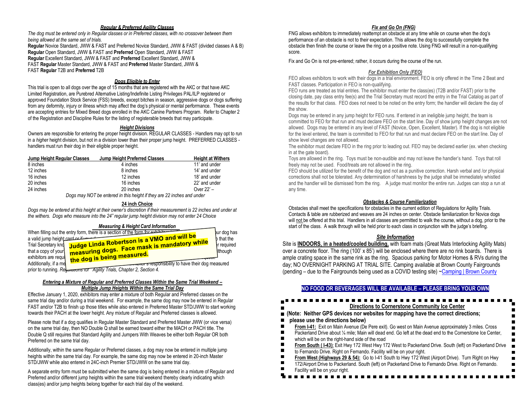#### *Regular & Preferred Agility Classes*

*The dog must be entered only in Regular classes or in Preferred classes, with no crossover between them being allowed at the same set of trials.* **Regular** Novice Standard, JWW & FAST and Preferred Novice Standard, JWW & FAST (divided classes A & B) **Regular** Open Standard, JWW & FAST and **Preferred** Open Standard, JWW & FAST **Regular** Excellent Standard, JWW & FAST and **Preferred** Excellent Standard, JWW & FAST **Regular** Master Standard, JWW & FAST and **Preferred** Master Standard, JWW & FAST **Regular** T2B and **Preferred** T2B

#### *Dogs Eligible to Enter*

This trial is open to all dogs over the age of 15 months that are registered with the AKC or that have AKC Limited Registration, are Purebred Alternative Listing/Indefinite Listing Privileges PAL/ILP registered or approved Foundation Stock Service (FSS) breeds, except bitches in season, aggressive dogs or dogs suffering from any deformity, injury or illness which may affect the dog's physical or mental performance. These events are accepting entries for Mixed Breed dogs enrolled in the AKC Canine Partners Program. Refer to Chapter 2 of the Registration and Discipline Rules for the listing of registerable breeds that may participate.

#### *Height Divisions*

Owners are responsible for entering the proper height division. REGULAR CLASSES - Handlers may opt to run in a *highe*r height division, but not in a division lower than their proper jump height. PREFERRED CLASSES handlers must run their dog in their eligible proper height.

| Jump Height Regular Classes          | Jump Height Preferred Classes | <b>Height at Withers</b> |
|--------------------------------------|-------------------------------|--------------------------|
| 8 inches                             | 4 inches                      | 11' and under            |
| 12 inches                            | 8 inches                      | 14' and under            |
| 16 inches                            | 12 inches                     | 18' and under            |
| 20 inches                            | 16 inches                     | 22' and under            |
| 24 inches                            | 20 inches                     | Over 22' -               |
| $\overline{\phantom{a}}$<br>$\cdots$ | $\sim$ $\sim$ $\sim$<br>.     |                          |

 *Dogs may NOT be entered in this height if they are 22 inches and under*

#### **24 inch Choice**

*Dogs may be entered at this height at their owner's discretion if their measurement is 22 inches and under at the withers. Dogs who measure into the 24" regular jump height division may not enter 24 Choice*

#### *Measuring & Height Card Information*

|                                    | When filling out the entry form, there is a section of the form for explaining | bur dog has       |
|------------------------------------|--------------------------------------------------------------------------------|-------------------|
| a valid jump height card or if you |                                                                                | <b>b</b> that the |
| Trial Secretary knd                | <sup>-l</sup> Judge Linda Robertson is a VMO and will be                       | <b>r</b> required |
| that a copy of your                | ີ measuring dogs. Face mask is mandatory while                                 | <b>Ithough</b>    |
| exhibitors are regul               | <sup>u</sup> the dog is being measured.                                        |                   |
| Additionally, if a me              | <b>Reprient STESPONSibility</b> to have their dog measured                     |                   |
|                                    | prior to running. Rey and Tor Agility Trials, Chapter 2, Section 4.            |                   |

#### *Entering a Mixture of Regular and Preferred Classes Within the Same Trial Weekend – Multiple Jump Heights Within the Same Trial Day*

Effective January 1, 2020, exhibitors may enter a mixture of both Regular and Preferred classes on the same trial day and/or during a trial weekend. For example, the same dog may now be entered in Regular FAST and/or T2B to finish up those titles while also entered in Preferred Master STD/JWW to start working towards their PACH at the lower height. Any mixture of Regular and Preferred classes is allowed.

Please note that if a dog qualifies in Regular Master Standard and Preferred Master JWW (or vice versa) on the same trial day, then NO Double Q shall be earned toward either the MACH or PACH title. The Double Q still requires that Standard Agility and Jumpers With Weaves be either both Regular OR both Preferred on the same trial day.

Additionally, within the same Regular or Preferred classes, a dog may now be entered in multiple jump heights within the same trial day. For example, the same dog may now be entered in 20-inch Master STD/JWW while also entered in 24C-inch Premier STD/JWW on the same trial day.

A separate entry form must be submitted when the same dog is being entered in a mixture of Regular and Preferred and/or different jump heights within the same trial weekend thereby clearly indicating which class(es) and/or jump heights belong together for each trial day of the weekend.

#### *Fix and Go On (FNG)*

FNG allows exhibitors to immediately reattempt an obstacle at any time while on course when the dog's performance of an obstacle is not to their expectation. This allows the dog to successfully complete the obstacle then finish the course or leave the ring on a positive note. Using FNG will result in a non-qualifying score.

Fix and Go On is not pre-entered; rather, it occurs during the course of the run.

#### *For Exhibition Only (FEO)*

FEO allows exhibitors to work with their dogs in a trial environment. FEO is only offered in the Time 2 Beat and FAST classes. Participation in FEO is non-qualifying.

FEO runs are treated as trial entries. The exhibitor must enter the class(es) (T2B and/or FAST) prior to the closing date, pay class entry fee(s) and the Trial Secretary must record the entry in the Trial Catalog as part of the results for that class. FEO does not need to be noted on the entry form; the handler will declare the day of the show.

Dogs may be entered in any jump height for FEO runs. If entered in an ineligible jump height, the team is committed to FEO for that run and must declare FEO on the start line. Day of show jump height changes are not allowed. Dogs may be entered in any level of FAST (Novice, Open, Excellent, Master). If the dog is not eligible for the level entered, the team is committed to FEO for that run and must declare FEO on the start line. Day of show level changes are not allowed.

The exhibitor must declare FEO in the ring prior to leading out. FEO may be declared earlier (ex. when checking in at the gate board).

Toys are allowed in the ring. Toys must be non-audible and may not leave the handler's hand. Toys that roll freely may not be used. Food/treats are not allowed in the ring.

FEO should be utilized for the benefit of the dog and not as a punitive correction. Harsh verbal and /or physical corrections shall not be tolerated. Any determination of harshness by the judge shall be immediately whistled and the handler will be dismissed from the ring. A judge must monitor the entire run. Judges can stop a run at any time.

#### *Obstacles & Course Familiarization*

Obstacles shall meet the specifications for obstacles in the current edition of Regulations for Agility Trials. Contacts & table are rubberized and weaves are 24 inches on center. Obstacle familiarization for Novice dogs will not be offered at this trial. Handlers in all classes are permitted to walk the course, without a dog, prior to the start of the class. A walk through will be held prior to each class in conjunction with the judge's briefing.

#### *Site Information*

Site is **INDOORS, in a heated/cooled building,** with foam mats (Great Mats Interlocking Agility Mats) over a concrete floor. The ring (100' x 85') will be enclosed where there are no rink boards.There is ample crating space in the same rink as the ring. Spacious parking for Motor Homes & RVs during the day; NO OVERNIGHT PARKING AT TRIAL SITE. Camping available at Brown County Fairgrounds (pending – due to the Fairgrounds being used as a COVID testing site) [~Camping | Brown County](https://www.brown.sd.us/department/fairgrounds/camping)

#### **NO FOOD OR BEVERAGES WILL BE AVAILABLE – PLEASE BRING YOUR OWN**

## **Directions to Cornerstone Community Ice Center**

#### **(Note: Neither GPS devices nor websites for mapping have the correct directions;**

#### **please use the directions below)**

- **From I-41:** Exit on Main Avenue (De Pere exit). Go west on Main Avenue approximately 3 miles. Cross  $\blacksquare$
- Packerland Drive about 1/4 mile; Main will dead end. Go left at the dead end to the Cornerstone Ice Center,
- $\blacksquare$ which will be on the right-hand side of the road
- $\blacksquare$ **From South ( I-43)**: Exit Hwy 172 West Hwy 172 West to Packerland Drive. South (left) on Packerland Drive
- $\blacksquare$ to Fernando Drive. Right on Fernando. Facility will be on your right.  $\blacksquare$
- **From West (Highways 29 & 54):** Go to I-41 South to Hwy 172 West (Airport Drive). Turn Right on Hwy
- п 172/Airport Drive to Packerland. South (left) on Packerland Drive to Fernando Drive. Right on Fernando. п
- Facility will be on your right.

#### ----------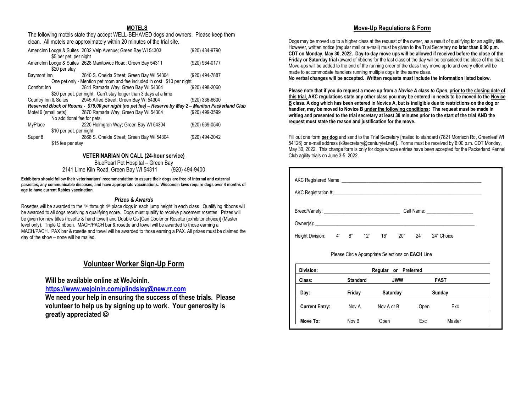### **MOTELS**

The following motels state they accept WELL-BEHAVED dogs and owners. Please keep them clean. All motels are approximately within 20 minutes of the trial site.

|                            | AmericInn Lodge & Suites 2032 Velp Avenue; Green Bay WI 54303                                         | (920) 434-9790 |
|----------------------------|-------------------------------------------------------------------------------------------------------|----------------|
| \$5 per pet, per night     |                                                                                                       |                |
|                            |                                                                                                       |                |
|                            | AmericInn Lodge & Suites 2628 Manitowoc Road; Green Bay 54311                                         | (920) 964-0177 |
| \$20 per stay              |                                                                                                       |                |
| Baymont Inn                | 2840 S. Oneida Street; Green Bay WI 54304                                                             | (920) 494-7887 |
|                            | One pet only - Mention pet room and fee included in cost \$10 per night                               |                |
| Comfort Inn                | 2841 Ramada Way; Green Bay WI 54304                                                                   | (920) 498-2060 |
|                            | \$20 per pet, per night. Can't stay longer than 3 days at a time                                      |                |
|                            | Country Inn & Suites 2945 Allied Street; Green Bay WI 54304                                           | (920) 336-6600 |
|                            | Reserved Block of Rooms - \$79.00 per night (no pet fee) - Reserve by May 2 - Mention Packerland Club |                |
|                            | Motel 6 (small pets) 2870 Ramada Way; Green Bay WI 54304                                              | (920) 499-3599 |
| No additional fee for pets |                                                                                                       |                |
| MyPlace                    | 2220 Holmgren Way; Green Bay WI 54304                                                                 | (920) 569-0540 |
| \$10 per pet, per night    |                                                                                                       |                |
| Super 8                    | 2868 S. Oneida Street; Green Bay WI 54304                                                             | (920) 494-2042 |
| \$15 fee per stay          |                                                                                                       |                |
|                            |                                                                                                       |                |

#### **VETERINARIAN ON CALL (24-hour service)**

BluePearl Pet Hospital – Green Bay 2141 Lime Kiln Road, Green Bay WI 54311 (920) 494-9400

**Exhibitors should follow their veterinarians' recommendation to assure their dogs are free of internal and external parasites, any communicable diseases, and have appropriate vaccinations. Wisconsin laws require dogs over 4 months of age to have current Rabies vaccination.** 

#### *Prizes & Awards*

Rosettes will be awarded to the 1<sup>st</sup> through 4<sup>th</sup> place dogs in each jump height in each class. Qualifying ribbons will be awarded to all dogs receiving a qualifying score. Dogs must qualify to receive placement rosettes. Prizes will be given for new titles (rosette & hand towel) and Double Qs [Can Cooler or Rosette (exhibitor choice)] (Master level only). Triple Q ribbon. MACH/PACH bar & rosette and towel will be awarded to those earning a MACH/PACH. PAX bar & rosette and towel will be awarded to those earning a PAX. All prizes must be claimed the day of the show – none will be mailed.

## **Volunteer Worker Sign-Up Form**

**Will be available online at WeJoinIn.** 

**<https://www.wejoinin.com/plindsley@new.rr.com>**

**We need your help in ensuring the success of these trials. Please volunteer to help us by signing up to work. Your generosity is greatly appreciated** ☺

### **Move-Up Regulations & Form**

Dogs may be moved up to a higher class at the request of the owner, as a result of qualifying for an agility title. However, written notice (regular mail or e-mail) must be given to the Trial Secretary **no later than 6:00 p.m. CDT on Monday, May 30, 2022. Day-to-day move ups will be allowed if received before the close of the Friday or Saturday trial** (award of ribbons for the last class of the day will be considered the close of the trial). Move-ups will be added to the end of the running order of the class they move up to and every effort will be made to accommodate handlers running multiple dogs in the same class.

**No verbal changes will be accepted. Written requests must include the information listed below.**

**Please note that if you do request a move up from a** *Novice A class to Open***, prior to the closing date of this trial, AKC regulations state any other class you may be entered in needs to be moved to the Novice B class. A dog which has been entered in Novice A, but is ineligible due to restrictions on the dog or handler, may be moved to Novice B under the following conditions: The request must be made in writing and presented to the trial secretary at least 30 minutes prior to the start of the trial AND the request must state the reason and justification for the move.**

Fill out one form **per dog** and send to the Trial Secretary [mailed to standard (7821 Morrison Rd, Greenleaf WI 54126) or e-mail address (k9secretary@centurytel.net)]. Forms must be received by 6:00 p.m. CDT Monday, May 30, 2022. This change form is only for dogs whose entries have been accepted for the Packerland Kennel Club agility trials on June 3-5, 2022.

| AKC Registered Name: Name: Name: Name: Name: Name: Name: Name: Name: Name: Name: Name: Name: Name: Name: Name: Name: Name: Name: Name: Name: Name: Name: Name: Name: Name: Name: Name: Name: Name: Name: Name: Name: Name: Nam<br>AKC Registration #: AKC Registration #: |          |                                                          |      |             |  |
|---------------------------------------------------------------------------------------------------------------------------------------------------------------------------------------------------------------------------------------------------------------------------|----------|----------------------------------------------------------|------|-------------|--|
|                                                                                                                                                                                                                                                                           |          |                                                          |      |             |  |
| Owner(s):                                                                                                                                                                                                                                                                 |          |                                                          |      |             |  |
| Height Division: 4" 8" 12" 16" 20" 24" 24" Choice                                                                                                                                                                                                                         |          |                                                          |      |             |  |
|                                                                                                                                                                                                                                                                           |          | Please Circle Appropriate Selections on <b>EACH</b> Line |      |             |  |
| Division:                                                                                                                                                                                                                                                                 |          | Regular or Preferred                                     |      |             |  |
| Class:                                                                                                                                                                                                                                                                    | Standard | <b>JWW</b>                                               |      | <b>FAST</b> |  |
| Day: the control of the control of the control of the control of the control of the control of the control of the control of the control of the control of the control of the control of the control of the control of the con                                            | Friday   | Saturday                                                 |      | Sunday      |  |
| <b>Current Entry:</b>                                                                                                                                                                                                                                                     | Nov A    | Nov A or B                                               | Open | Exc         |  |
| Move To:                                                                                                                                                                                                                                                                  | Nov B    | Open                                                     | Exc  | Master      |  |